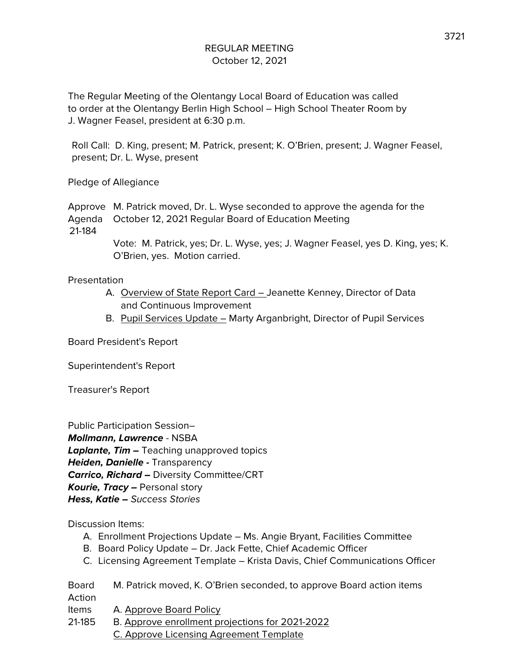The Regular Meeting of the Olentangy Local Board of Education was called to order at the Olentangy Berlin High School – High School Theater Room by J. Wagner Feasel, president at 6:30 p.m.

Roll Call: D. King, present; M. Patrick, present; K. O'Brien, present; J. Wagner Feasel, present; Dr. L. Wyse, present

Pledge of Allegiance

Approve M. Patrick moved, Dr. L. Wyse seconded to approve the agenda for the Agenda October 12, 2021 Regular Board of Education Meeting 21-184

> Vote: M. Patrick, yes; Dr. L. Wyse, yes; J. Wagner Feasel, yes D. King, yes; K. O'Brien, yes. Motion carried.

Presentation

- A. Overview of State Report Card Jeanette Kenney, Director of Data and Continuous Improvement
- B. Pupil Services Update Marty Arganbright, Director of Pupil Services

Board President's Report

Superintendent's Report

Treasurer's Report

Public Participation Session– **Mollmann, Lawrence** - NSBA **Laplante, Tim –** Teaching unapproved topics **Heiden, Danielle -** Transparency **Carrico, Richard –** Diversity Committee/CRT **Kourie, Tracy –** Personal story **Hess, Katie –** Success Stories

Discussion Items:

- A. Enrollment Projections Update Ms. Angie Bryant, Facilities Committee
- B. Board Policy Update Dr. Jack Fette, Chief Academic Officer
- C. Licensing Agreement Template Krista Davis, Chief Communications Officer

Board M. Patrick moved, K. O'Brien seconded, to approve Board action items Action Items A. Approve Board Policy

- 21-185 B. Approve enrollment projections for 2021-2022
	- C. Approve Licensing Agreement Template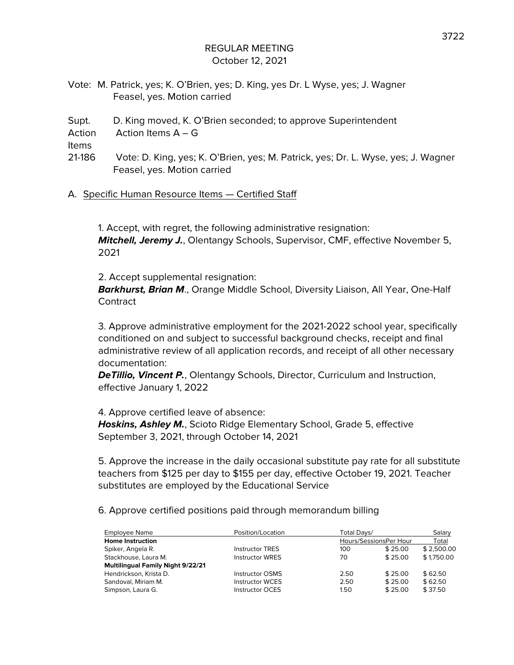- Vote: M. Patrick, yes; K. O'Brien, yes; D. King, yes Dr. L Wyse, yes; J. Wagner Feasel, yes. Motion carried
- Supt. D. King moved, K. O'Brien seconded; to approve Superintendent

Action Action Items A – G

Items

- 21-186 Vote: D. King, yes; K. O'Brien, yes; M. Patrick, yes; Dr. L. Wyse, yes; J. Wagner Feasel, yes. Motion carried
- A. Specific Human Resource Items Certified Staff

1. Accept, with regret, the following administrative resignation: **Mitchell, Jeremy J.**, Olentangy Schools, Supervisor, CMF, effective November 5, 2021

2. Accept supplemental resignation:

**Barkhurst, Brian M**., Orange Middle School, Diversity Liaison, All Year, One-Half **Contract** 

3. Approve administrative employment for the 2021-2022 school year, specifically conditioned on and subject to successful background checks, receipt and final administrative review of all application records, and receipt of all other necessary documentation:

**DeTillio, Vincent P.**, Olentangy Schools, Director, Curriculum and Instruction, effective January 1, 2022

4. Approve certified leave of absence:

**Hoskins, Ashley M.**, Scioto Ridge Elementary School, Grade 5, effective September 3, 2021, through October 14, 2021

5. Approve the increase in the daily occasional substitute pay rate for all substitute teachers from \$125 per day to \$155 per day, effective October 19, 2021. Teacher substitutes are employed by the Educational Service

6. Approve certified positions paid through memorandum billing

| <b>Employee Name</b>                     | Position/Location      | Total Davs/ |                        | Salary     |
|------------------------------------------|------------------------|-------------|------------------------|------------|
| <b>Home Instruction</b>                  |                        |             | Hours/SessionsPer Hour | Total      |
| Spiker, Angela R.                        | <b>Instructor TRES</b> | 100         | \$25.00                | \$2.500.00 |
| Stackhouse, Laura M.                     | <b>Instructor WRES</b> | 70          | \$25.00                | \$1,750.00 |
| <b>Multilingual Family Night 9/22/21</b> |                        |             |                        |            |
| Hendrickson, Krista D.                   | <b>Instructor OSMS</b> | 2.50        | \$25.00                | \$62.50    |
| Sandoval, Miriam M.                      | <b>Instructor WCES</b> | 2.50        | \$25.00                | \$62.50    |
| Simpson, Laura G.                        | <b>Instructor OCES</b> | 1.50        | \$25.00                | \$37.50    |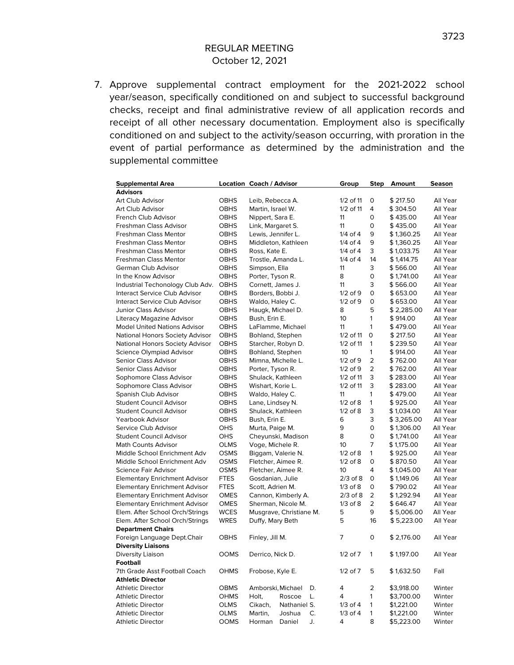7. Approve supplemental contract employment for the 2021-2022 school year/season, specifically conditioned on and subject to successful background checks, receipt and final administrative review of all application records and receipt of all other necessary documentation. Employment also is specifically conditioned on and subject to the activity/season occurring, with proration in the event of partial performance as determined by the administration and the supplemental committee

| <b>Supplemental Area</b><br><b>Advisors</b>              |             | Location Coach / Advisor              |    | <u>Group</u> |              | Step Amount | Season   |
|----------------------------------------------------------|-------------|---------------------------------------|----|--------------|--------------|-------------|----------|
| Art Club Advisor                                         | <b>OBHS</b> |                                       |    | 1/2 of 11    | 0            | \$217.50    | All Year |
| Art Club Advisor                                         | OBHS        | Leib, Rebecca A.<br>Martin, Israel W. |    | 1/2 of 11    | 4            | \$304.50    | All Year |
|                                                          |             |                                       |    | 11           |              |             | All Year |
| French Club Advisor                                      | OBHS        | Nippert, Sara E.                      |    |              | 0            | \$435.00    | All Year |
| Freshman Class Advisor                                   | OBHS        | Link, Margaret S.                     |    | 11           | 0            | \$435.00    |          |
| <b>Freshman Class Mentor</b>                             | OBHS        | Lewis, Jennifer L.                    |    | $1/4$ of $4$ | 9            | \$1,360.25  | All Year |
| Freshman Class Mentor                                    | OBHS        | Middleton, Kathleen                   |    | 1/4 of 4     | 9            | \$1,360.25  | All Year |
| Freshman Class Mentor                                    | OBHS        | Ross, Kate E.                         |    | $1/4$ of $4$ | 3            | \$ 1,033.75 | All Year |
| Freshman Class Mentor                                    | OBHS        | Trostle, Amanda L.                    |    | $1/4$ of $4$ | 14           | \$1,414.75  | All Year |
| German Club Advisor                                      | OBHS        | Simpson, Ella                         |    | 11           | 3            | \$ 566.00   | All Year |
| In the Know Advisor                                      | <b>OBHS</b> | Porter, Tyson R.                      |    | 8            | 0            | \$1,741.00  | All Year |
| Industrial Techonology Club Adv.                         | <b>OBHS</b> | Cornett, James J.                     |    | 11           | 3            | \$ 566.00   | All Year |
| Interact Service Club Advisor                            | <b>OBHS</b> | Borders, Bobbi J.                     |    | $1/2$ of $9$ | 0            | \$653.00    | All Year |
| Interact Service Club Advisor                            | <b>OBHS</b> | Waldo, Haley C.                       |    | $1/2$ of 9   | 0            | \$653.00    | All Year |
| Junior Class Advisor                                     | <b>OBHS</b> | Haugk, Michael D.                     |    | 8            | 5            | \$2,285.00  | All Year |
| Literacy Magazine Advisor                                | <b>OBHS</b> | Bush, Erin E.                         |    | 10           | 1            | \$914.00    | All Year |
| <b>Model United Nations Advisor</b>                      | <b>OBHS</b> | LaFlamme, Michael                     |    | 11           | 1            | \$479.00    | All Year |
| National Honors Society Advisor                          | <b>OBHS</b> | Bohland, Stephen                      |    | 1/2 of 11    | 0            | \$217.50    | All Year |
| National Honors Society Advisor                          | <b>OBHS</b> | Starcher, Robyn D.                    |    | 1/2 of 11    | 1            | \$239.50    | All Year |
| Science Olympiad Advisor                                 | <b>OBHS</b> | Bohland, Stephen                      |    | 10           | 1            | \$914.00    | All Year |
| Senior Class Advisor                                     | OBHS        | Mimna, Michelle L.                    |    | $1/2$ of $9$ | 2            | \$762.00    | All Year |
| Senior Class Advisor                                     | OBHS        | Porter, Tyson R.                      |    | $1/2$ of $9$ | 2            | \$762.00    | All Year |
| Sophomore Class Advisor                                  | OBHS        | Shulack, Kathleen                     |    | $1/2$ of 11  | 3            | \$283.00    | All Year |
| Sophomore Class Advisor                                  | OBHS        | Wishart, Korie L.                     |    | $1/2$ of 11  | 3            | \$283.00    | All Year |
| Spanish Club Advisor                                     | OBHS        | Waldo, Haley C.                       |    | 11           | 1            | \$479.00    | All Year |
| <b>Student Council Advisor</b>                           | <b>OBHS</b> | Lane, Lindsey N.                      |    | $1/2$ of $8$ | 1            | \$925.00    | All Year |
| <b>Student Council Advisor</b>                           | OBHS        | Shulack, Kathleen                     |    | $1/2$ of $8$ | 3            | \$1,034.00  | All Year |
| Yearbook Advisor                                         | OBHS        | Bush, Erin E.                         |    | 6            | 3            | \$ 3,265.00 | All Year |
| Service Club Advisor                                     | OHS         | Murta, Paige M.                       |    | 9            | 0            | \$1,306.00  | All Year |
| <b>Student Council Advisor</b>                           | OHS         | Cheyunski, Madison                    |    | 8            | 0            | \$1,741.00  | All Year |
| Math Counts Advisor                                      | OLMS        | Voge, Michele R.                      |    | 10           | 7            | \$1,175.00  | All Year |
| Middle School Enrichment Adv                             | <b>OSMS</b> | Biggam, Valerie N.                    |    | $1/2$ of $8$ | 1            | \$925.00    | All Year |
| Middle School Enrichment Adv                             | OSMS        | Fletcher, Aimee R.                    |    | $1/2$ of $8$ | 0            | \$870.50    | All Year |
|                                                          |             |                                       |    |              | 4            |             | All Year |
| Science Fair Advisor                                     | <b>OSMS</b> | Fletcher, Aimee R.                    |    | 10           |              | \$1,045.00  |          |
| <b>Elementary Enrichment Advisor</b>                     | <b>FTES</b> | Gosdanian, Julie                      |    | $2/3$ of $8$ | 0            | \$1,149.06  | All Year |
| <b>Elementary Enrichment Advisor</b>                     | <b>FTES</b> | Scott, Adrien M.                      |    | $1/3$ of $8$ | 0            | \$790.02    | All Year |
| <b>Elementary Enrichment Advisor</b>                     | <b>OMES</b> | Cannon, Kimberly A.                   |    | $2/3$ of $8$ | 2            | \$1,292.94  | All Year |
| <b>Elementary Enrichment Advisor</b>                     | <b>OMES</b> | Sherman, Nicole M.                    |    | $1/3$ of $8$ | 2            | \$646.47    | All Year |
| Elem. After School Orch/Strings                          | <b>WCES</b> | Musgrave, Christiane M.               |    | 5            | 9            | \$5,006.00  | All Year |
| Elem. After School Orch/Strings                          | <b>WRES</b> | Duffy, Mary Beth                      |    | 5            | 16           | \$5,223.00  | All Year |
| <b>Department Chairs</b>                                 |             |                                       |    |              |              |             |          |
| Foreign Language Dept.Chair<br><b>Diversity Liaisons</b> | OBHS        | Finley, Jill M.                       |    | 7            | 0            | \$ 2,176.00 | All Year |
| Diversity Liaison<br>Football                            | OOMS        | Derrico, Nick D.                      |    | $1/2$ of $7$ | $\mathbf{1}$ | \$1,197.00  | All Year |
| 7th Grade Asst Football Coach                            | <b>OHMS</b> | Frobose, Kyle E.                      |    | $1/2$ of $7$ | 5            | \$1,632.50  | Fall     |
| <b>Athletic Director</b>                                 |             |                                       |    |              |              |             |          |
| <b>Athletic Director</b>                                 | OBMS        | Amborski, Michael                     | D. | 4            | 2            | \$3,918.00  | Winter   |
| <b>Athletic Director</b>                                 | OHMS        | Roscoe<br>Holt,                       | L. | 4            | 1            | \$3,700.00  | Winter   |
| <b>Athletic Director</b>                                 | OLMS        | Cikach,<br>Nathaniel S.               |    | $1/3$ of 4   | 1            | \$1,221.00  | Winter   |
|                                                          | OLMS        |                                       | С. | $1/3$ of $4$ | 1            | \$1,221.00  | Winter   |
| <b>Athletic Director</b>                                 |             | Martin,<br>Joshua                     |    |              | 8            | \$5,223.00  |          |
| <b>Athletic Director</b>                                 | OOMS        | Horman<br>Daniel                      | J. | 4            |              |             | Winter   |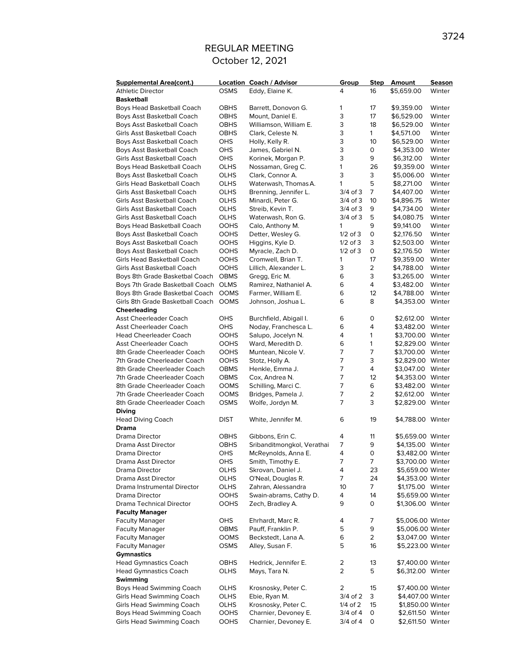| <b>Supplemental Area(cont.)</b>  |             | <b>Location Coach / Advisor</b> | Group        | Step           | Amount            | Season |
|----------------------------------|-------------|---------------------------------|--------------|----------------|-------------------|--------|
| <b>Athletic Director</b>         | <b>OSMS</b> | Eddy, Elaine K.                 | 4            | 16             | \$5,659.00        | Winter |
| <b>Basketball</b>                |             |                                 |              |                |                   |        |
| Boys Head Basketball Coach       | <b>OBHS</b> | Barrett, Donovon G.             | 1            | 17             | \$9,359.00        | Winter |
| Boys Asst Basketball Coach       | <b>OBHS</b> | Mount, Daniel E.                | 3            | 17             | \$6,529.00        | Winter |
| Boys Asst Basketball Coach       | <b>OBHS</b> | Williamson, William E.          | 3            | 18             | \$6,529.00        | Winter |
| Girls Asst Basketball Coach      | <b>OBHS</b> | Clark, Celeste N.               | 3            | $\mathbf{1}$   | \$4,571.00        | Winter |
| Boys Asst Basketball Coach       | <b>OHS</b>  | Holly, Kelly R.                 | 3            | 10             | \$6,529.00        | Winter |
| Boys Asst Basketball Coach       | <b>OHS</b>  | James, Gabriel N.               | 3            | 0              | \$4,353.00        | Winter |
| Girls Asst Basketball Coach      | OHS         | Korinek, Morgan P.              | 3            | 9              | \$6,312.00        | Winter |
| Boys Head Basketball Coach       | OLHS        | Nossaman, Greg C.               | 1            | 26             | \$9,359.00        | Winter |
| Boys Asst Basketball Coach       | OLHS        | Clark, Connor A.                | 3            | 3              | \$5,006.00        | Winter |
| Girls Head Basketball Coach      | OLHS        | Waterwash, Thomas A.            | 1            | 5              | \$8,271.00        | Winter |
| Girls Asst Basketball Coach      | OLHS        | Brenning, Jennifer L.           | 3/4 of 3     | 7              | \$4,407.00        | Winter |
| Girls Asst Basketball Coach      | OLHS        | Minardi, Peter G.               | 3/4 of 3     | 10             | \$4,896.75        | Winter |
| Girls Asst Basketball Coach      | OLHS        | Streib, Kevin T.                | $3/4$ of $3$ | 9              | \$4,734.00        | Winter |
| Girls Asst Basketball Coach      | OLHS        | Waterwash, Ron G.               | 3/4 of 3     | 5              | \$4,080.75        | Winter |
| Boys Head Basketball Coach       | <b>OOHS</b> | Calo, Anthony M.                | 1            | 9              | \$9,141.00        | Winter |
| Boys Asst Basketball Coach       | <b>OOHS</b> | Detter, Wesley G.               | $1/2$ of 3   | 0              | \$2,176.50        | Winter |
| Boys Asst Basketball Coach       | <b>OOHS</b> | Higgins, Kyle D.                | $1/2$ of $3$ | 3              | \$2,503.00        | Winter |
| Boys Asst Basketball Coach       | <b>OOHS</b> | Myracle, Zach D.                | $1/2$ of 3   | 0              | \$2,176.50        | Winter |
| Girls Head Basketball Coach      | <b>OOHS</b> | Cromwell, Brian T.              | 1            | 17             | \$9,359.00        | Winter |
| Girls Asst Basketball Coach      | <b>OOHS</b> | Lillich, Alexander L.           | 3            | $\overline{2}$ | \$4,788.00        | Winter |
| Boys 8th Grade Basketbal Coach   | <b>OBMS</b> | Gregg, Eric M.                  | 6            | 3              | \$3,265.00        | Winter |
| Boys 7th Grade Basketball Coach  | <b>OLMS</b> | Ramirez, Nathaniel A.           | 6            | 4              | \$3,482.00        | Winter |
| Boys 8th Grade Basketbal Coach   | <b>OOMS</b> | Farmer, William E.              | 6            | 12             | \$4,788.00        | Winter |
| Girls 8th Grade Basketball Coach | <b>OOMS</b> | Johnson, Joshua L.              | 6            | 8              | \$4,353.00        | Winter |
| Cheerleading                     |             |                                 |              |                |                   |        |
| <b>Asst Cheerleader Coach</b>    | OHS         | Burchfield, Abigail I.          | 6            | 0              | \$2,612.00 Winter |        |
| <b>Asst Cheerleader Coach</b>    | <b>OHS</b>  | Noday, Franchesca L.            | 6            | 4              | \$3,482.00 Winter |        |
| <b>Head Cheerleader Coach</b>    | <b>OOHS</b> | Salupo, Jocelyn N.              | 4            | 1              | \$3,700.00 Winter |        |
| <b>Asst Cheerleader Coach</b>    | OOHS        | Ward, Meredith D.               | 6            | $\mathbf{1}$   | \$2,829.00 Winter |        |
| 8th Grade Cheerleader Coach      | <b>OOHS</b> | Muntean, Nicole V.              | 7            | 7              | \$3,700.00 Winter |        |
| 7th Grade Cheerleader Coach      | <b>OOHS</b> | Stotz, Holly A.                 | 7            | 3              | \$2,829.00 Winter |        |
| 8th Grade Cheerleader Coach      | <b>OBMS</b> | Henkle, Emma J.                 | 7            | $\overline{4}$ | \$3,047.00 Winter |        |
| 7th Grade Cheerleader Coach      | <b>OBMS</b> | Cox, Andrea N.                  | 7            | 12             | \$4,353.00 Winter |        |
| 8th Grade Cheerleader Coach      | <b>OOMS</b> | Schilling, Marci C.             | 7            | 6              | \$3,482.00 Winter |        |
| 7th Grade Cheerleader Coach      | <b>OOMS</b> | Bridges, Pamela J.              | 7            | $\overline{2}$ | \$2,612.00        | Winter |
| 8th Grade Cheerleader Coach      | <b>OSMS</b> | Wolfe, Jordyn M.                | 7            | 3              | \$2,829.00 Winter |        |
| <b>Diving</b>                    |             |                                 |              |                |                   |        |
| <b>Head Diving Coach</b>         | <b>DIST</b> | White, Jennifer M.              | 6            | 19             | \$4,788.00 Winter |        |
| Drama                            |             |                                 |              |                |                   |        |
| Drama Director                   | <b>OBHS</b> | Gibbons, Erin C.                | 4            | 11             | \$5,659.00 Winter |        |
| Drama Asst Director              | <b>OBHS</b> | Sribanditmongkol, Verathai      | 7            | 9              | \$4,135.00 Winter |        |
| Drama Director                   | OHS         | McReynolds, Anna E.             | 4            | 0              | \$3,482.00 Winter |        |
| Drama Asst Director              | OHS         | Smith, Timothy E.               | 7            | 7              | \$3,700.00 Winter |        |
| Drama Director                   | OLHS        | Skrovan, Daniel J.              | 4            | 23             | \$5,659.00 Winter |        |
| Drama Asst Director              | OLHS        | O'Neal, Douglas R.              | 7            | 24             | \$4,353.00 Winter |        |
| Drama Instrumental Director      | OLHS        | Zahran, Alessandra              | 10           | 7              | \$1,175.00 Winter |        |
| Drama Director                   | <b>OOHS</b> | Swain-abrams, Cathy D.          | 4            | 14             | \$5,659.00 Winter |        |
| Drama Technical Director         | <b>OOHS</b> | Zech, Bradley A.                | 9            | 0              | \$1,306.00 Winter |        |
| <b>Faculty Manager</b>           |             |                                 |              |                |                   |        |
| Faculty Manager                  | OHS         | Ehrhardt, Marc R.               | 4            | 7              | \$5,006.00 Winter |        |
| <b>Faculty Manager</b>           | OBMS        | Pauff, Franklin P.              | 5            | 9              | \$5,006.00 Winter |        |
| <b>Faculty Manager</b>           | OOMS        | Beckstedt, Lana A.              | 6            | 2              | \$3,047.00 Winter |        |
| <b>Faculty Manager</b>           | <b>OSMS</b> | Alley, Susan F.                 | 5            | 16             | \$5,223.00 Winter |        |
| <b>Gymnastics</b>                |             |                                 |              |                |                   |        |
| <b>Head Gymnastics Coach</b>     | OBHS        | Hedrick, Jennifer E.            | 2            | 13             | \$7,400.00 Winter |        |
| <b>Head Gymnastics Coach</b>     | OLHS        | Mays, Tara N.                   | 2            | 5              | \$6,312.00 Winter |        |
| Swimming                         |             |                                 |              |                |                   |        |
| Boys Head Swimming Coach         | OLHS        | Krosnosky, Peter C.             | 2            | 15             | \$7,400.00 Winter |        |
| <b>Girls Head Swimming Coach</b> | <b>OLHS</b> | Ebie, Ryan M.                   | 3/4 of 2     | 3              | \$4,407.00 Winter |        |
| <b>Girls Head Swimming Coach</b> | OLHS        | Krosnosky, Peter C.             | 1/4 of 2     | 15             | \$1,850.00 Winter |        |
| Boys Head Swimming Coach         | OOHS        | Charnier, Devoney E.            | 3/4 of 4     | 0              | \$2,611.50 Winter |        |
| <b>Girls Head Swimming Coach</b> | OOHS        | Charnier, Devoney E.            | 3/4 of 4     | 0              | \$2,611.50 Winter |        |
|                                  |             |                                 |              |                |                   |        |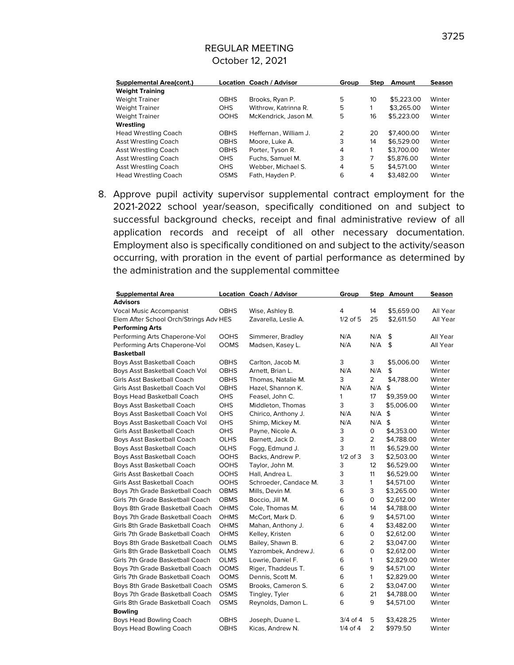| <b>Supplemental Area(cont.)</b> |             | <b>Location Coach / Advisor</b> | Group | <b>Step</b> | Amount     | <b>Season</b> |
|---------------------------------|-------------|---------------------------------|-------|-------------|------------|---------------|
| <b>Weight Training</b>          |             |                                 |       |             |            |               |
| <b>Weight Trainer</b>           | <b>OBHS</b> | Brooks, Ryan P.                 | 5     | 10          | \$5,223,00 | Winter        |
| <b>Weight Trainer</b>           | OHS         | Withrow, Katrinna R.            | 5     |             | \$3,265.00 | Winter        |
| <b>Weight Trainer</b>           | <b>OOHS</b> | McKendrick, Jason M.            | 5     | 16          | \$5,223,00 | Winter        |
| Wrestlina                       |             |                                 |       |             |            |               |
| <b>Head Wrestling Coach</b>     | <b>OBHS</b> | Heffernan, William J.           | 2     | 20          | \$7,400.00 | Winter        |
| Asst Wrestling Coach            | <b>OBHS</b> | Moore, Luke A.                  | 3     | 14          | \$6.529.00 | Winter        |
| Asst Wrestling Coach            | <b>OBHS</b> | Porter, Tyson R.                | 4     | 1           | \$3,700.00 | Winter        |
| Asst Wrestling Coach            | <b>OHS</b>  | Fuchs, Samuel M.                | 3     | 7           | \$5,876.00 | Winter        |
| Asst Wrestling Coach            | OHS         | Webber, Michael S.              | 4     | 5           | \$4,571,00 | Winter        |
| <b>Head Wrestling Coach</b>     | <b>OSMS</b> | Fath, Hayden P.                 | 6     | 4           | \$3,482.00 | Winter        |

8. Approve pupil activity supervisor supplemental contract employment for the 2021-2022 school year/season, specifically conditioned on and subject to successful background checks, receipt and final administrative review of all application records and receipt of all other necessary documentation. Employment also is specifically conditioned on and subject to the activity/season occurring, with proration in the event of partial performance as determined by the administration and the supplemental committee

| <b>Supplemental Area</b>               |             | <b>Location Coach / Advisor</b> | Group        |                | Step Amount | Season   |
|----------------------------------------|-------------|---------------------------------|--------------|----------------|-------------|----------|
| <b>Advisors</b>                        |             |                                 |              |                |             |          |
| Vocal Music Accompanist                | <b>OBHS</b> | Wise, Ashley B.                 | 4            | 14             | \$5,659.00  | All Year |
| Elem After School Orch/Strings Adv HES |             | Zavarella, Leslie A.            | $1/2$ of 5   | 25             | \$2,611.50  | All Year |
| <b>Performing Arts</b>                 |             |                                 |              |                |             |          |
| Performing Arts Chaperone-Vol          | <b>OOHS</b> | Simmerer, Bradley               | N/A          | N/A            | \$          | All Year |
| Performing Arts Chaperone-Vol          | <b>OOMS</b> | Madsen, Kasey L.                | N/A          | N/A            | \$          | All Year |
| <b>Basketball</b>                      |             |                                 |              |                |             |          |
| Boys Asst Basketball Coach             | <b>OBHS</b> | Carlton, Jacob M.               | 3            | 3              | \$5,006.00  | Winter   |
| Boys Asst Basketball Coach Vol         | <b>OBHS</b> | Arnett, Brian L.                | N/A          | N/A            | \$          | Winter   |
| Girls Asst Basketball Coach            | <b>OBHS</b> | Thomas, Natalie M.              | 3            | $\overline{2}$ | \$4,788.00  | Winter   |
| Girls Asst Basketball Coach Vol        | <b>OBHS</b> | Hazel, Shannon K.               | N/A          | N/A            | \$          | Winter   |
| Boys Head Basketball Coach             | <b>OHS</b>  | Feasel, John C.                 | 1            | 17             | \$9,359.00  | Winter   |
| Boys Asst Basketball Coach             | <b>OHS</b>  | Middleton, Thomas               | 3            | 3              | \$5,006.00  | Winter   |
| Boys Asst Basketball Coach Vol         | <b>OHS</b>  | Chirico, Anthony J.             | N/A          | N/A            | \$          | Winter   |
| Boys Asst Basketball Coach Vol         | <b>OHS</b>  | Shimp, Mickey M.                | N/A          | N/A            | \$          | Winter   |
| Girls Asst Basketball Coach            | <b>OHS</b>  | Payne, Nicole A.                | 3            | $\mathsf O$    | \$4,353.00  | Winter   |
| Boys Asst Basketball Coach             | <b>OLHS</b> | Barnett, Jack D.                | 3            | $\overline{2}$ | \$4,788.00  | Winter   |
| Boys Asst Basketball Coach             | <b>OLHS</b> | Fogg, Edmund J.                 | 3            | 11             | \$6,529.00  | Winter   |
| Boys Asst Basketball Coach             | <b>OOHS</b> | Backs, Andrew P.                | $1/2$ of 3   | 3              | \$2,503.00  | Winter   |
| Boys Asst Basketball Coach             | <b>OOHS</b> | Taylor, John M.                 | 3            | 12             | \$6,529.00  | Winter   |
| Girls Asst Basketball Coach            | <b>OOHS</b> | Hall, Andrea L.                 | 3            | 11             | \$6,529.00  | Winter   |
| Girls Asst Basketball Coach            | <b>OOHS</b> | Schroeder, Candace M.           | 3            | $\mathbf{1}$   | \$4,571.00  | Winter   |
| Boys 7th Grade Basketball Coach        | <b>OBMS</b> | Mills, Devin M.                 | 6            | 3              | \$3,265.00  | Winter   |
| Girls 7th Grade Basketball Coach       | <b>OBMS</b> | Boccio, Jill M.                 | 6            | 0              | \$2,612.00  | Winter   |
| Boys 8th Grade Basketball Coach        | <b>OHMS</b> | Cole, Thomas M.                 | 6            | 14             | \$4,788.00  | Winter   |
| Boys 7th Grade Basketball Coach        | <b>OHMS</b> | McCort, Mark D.                 | 6            | 9              | \$4,571.00  | Winter   |
| Girls 8th Grade Basketball Coach       | <b>OHMS</b> | Mahan, Anthony J.               | 6            | $\overline{4}$ | \$3,482.00  | Winter   |
| Girls 7th Grade Basketball Coach       | <b>OHMS</b> | Kelley, Kristen                 | 6            | $\mathsf{O}$   | \$2,612.00  | Winter   |
| Boys 8th Grade Basketball Coach        | <b>OLMS</b> | Bailey, Shawn B.                | 6            | 2              | \$3,047.00  | Winter   |
| Girls 8th Grade Basketball Coach       | <b>OLMS</b> | Yazrombek, Andrew J.            | 6            | $\mathsf{O}$   | \$2,612.00  | Winter   |
| Girls 7th Grade Basketball Coach       | <b>OLMS</b> | Lowrie, Daniel F.               | 6            | $\mathbf{1}$   | \$2,829.00  | Winter   |
| Boys 7th Grade Basketball Coach        | <b>OOMS</b> | Riger, Thaddeus T.              | 6            | 9              | \$4,571.00  | Winter   |
| Girls 7th Grade Basketball Coach       | <b>OOMS</b> | Dennis, Scott M.                | 6            | $\mathbf{1}$   | \$2,829.00  | Winter   |
| Boys 8th Grade Basketball Coach        | <b>OSMS</b> | Brooks, Cameron S.              | 6            | $\overline{2}$ | \$3,047.00  | Winter   |
| Boys 7th Grade Basketball Coach        | <b>OSMS</b> | Tingley, Tyler                  | 6            | 21             | \$4,788.00  | Winter   |
| Girls 8th Grade Basketball Coach       | <b>OSMS</b> | Reynolds, Damon L.              | 6            | 9              | \$4,571.00  | Winter   |
| <b>Bowling</b>                         |             |                                 |              |                |             |          |
| Boys Head Bowling Coach                | <b>OBHS</b> | Joseph, Duane L.                | $3/4$ of 4   | 5              | \$3,428.25  | Winter   |
| Boys Head Bowling Coach                | <b>OBHS</b> | Kicas, Andrew N.                | $1/4$ of $4$ | $\overline{2}$ | \$979.50    | Winter   |
|                                        |             |                                 |              |                |             |          |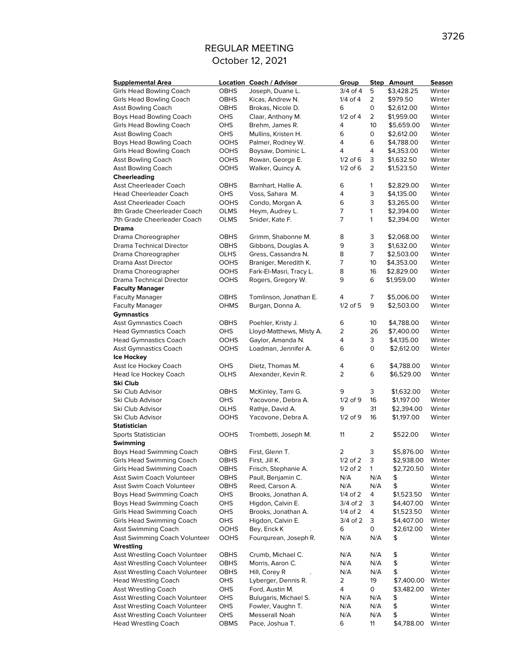| <b>Supplemental Area</b>              |             | <b>Location Coach / Advisor</b> | Group          |                 | <b>Step Amount</b> | Season |
|---------------------------------------|-------------|---------------------------------|----------------|-----------------|--------------------|--------|
| <b>Girls Head Bowling Coach</b>       | <b>OBHS</b> | Joseph, Duane L.                | $3/4$ of 4     | 5               | \$3,428.25         | Winter |
| <b>Girls Head Bowling Coach</b>       | <b>OBHS</b> | Kicas, Andrew N.                | $1/4$ of $4$   | $\overline{2}$  | \$979.50           | Winter |
| <b>Asst Bowling Coach</b>             | OBHS        | Brokas, Nicole D.               | 6              | 0               | \$2,612.00         | Winter |
| Boys Head Bowling Coach               | <b>OHS</b>  | Claar, Anthony M.               | $1/2$ of $4$   | $\overline{2}$  | \$1,959.00         | Winter |
| <b>Girls Head Bowling Coach</b>       | <b>OHS</b>  | Brehm, James R.                 | 4              | 10 <sup>°</sup> | \$5,659.00         | Winter |
| <b>Asst Bowling Coach</b>             | <b>OHS</b>  | Mullins, Kristen H.             | 6              | 0               | \$2,612.00         | Winter |
| Boys Head Bowling Coach               | <b>OOHS</b> | Palmer, Rodney W.               | $\overline{4}$ | 6               | \$4,788.00         | Winter |
| <b>Girls Head Bowling Coach</b>       | <b>OOHS</b> | Boysaw, Dominic L.              | 4              | 4               | \$4,353.00         | Winter |
| <b>Asst Bowling Coach</b>             | <b>OOHS</b> | Rowan, George E.                | $1/2$ of 6     | 3               | \$1,632.50         | Winter |
| <b>Asst Bowling Coach</b>             | <b>OOHS</b> | Walker, Quincy A.               | $1/2$ of 6     | $\overline{2}$  | \$1,523.50         | Winter |
|                                       |             |                                 |                |                 |                    |        |
| Cheerleading                          |             |                                 |                |                 |                    |        |
| Asst Cheerleader Coach                | <b>OBHS</b> | Barnhart, Hallie A.             | 6              | 1               | \$2,829.00         | Winter |
| <b>Head Cheerleader Coach</b>         | <b>OHS</b>  | Voss, Sahara M.                 | 4              | 3               | \$4,135.00         | Winter |
| <b>Asst Cheerleader Coach</b>         | <b>OOHS</b> | Condo, Morgan A.                | 6              | 3               | \$3,265.00         | Winter |
| 8th Grade Cheerleader Coach           | <b>OLMS</b> | Heym, Audrey L.                 | 7              | 1               | \$2,394.00         | Winter |
| 7th Grade Cheerleader Coach           | <b>OLMS</b> | Snider, Kate F.                 | 7              | 1               | \$2,394.00         | Winter |
| <b>Drama</b>                          |             |                                 |                |                 |                    |        |
| Drama Choreographer                   | <b>OBHS</b> | Grimm, Shabonne M.              | 8              | 3               | \$2,068.00         | Winter |
| Drama Technical Director              | <b>OBHS</b> | Gibbons, Douglas A.             | 9              | 3               | \$1,632.00         | Winter |
| Drama Choreographer                   | <b>OLHS</b> | Gress, Cassandra N.             | 8              | 7               | \$2,503.00         | Winter |
| Drama Asst Director                   | <b>OOHS</b> | Braniger, Meredith K.           | 7              | 10              | \$4,353.00         | Winter |
| Drama Choreographer                   | <b>OOHS</b> | Fark-El-Masri, Tracy L.         | 8              | 16              | \$2,829.00         | Winter |
| Drama Technical Director              | <b>OOHS</b> | Rogers, Gregory W.              | 9              | 6               | \$1,959.00         | Winter |
| <b>Faculty Manager</b>                |             |                                 |                |                 |                    |        |
| <b>Faculty Manager</b>                | <b>OBHS</b> | Tomlinson, Jonathan E.          | 4              | 7               | \$5,006.00         | Winter |
| <b>Faculty Manager</b>                | <b>OHMS</b> | Burgan, Donna A.                | $1/2$ of 5     | 9               | \$2,503.00         | Winter |
| <b>Gymnastics</b>                     |             |                                 |                |                 |                    |        |
| <b>Asst Gymnastics Coach</b>          | <b>OBHS</b> | Poehler, Kristy J.              | 6              | 10              | \$4,788.00         | Winter |
| <b>Head Gymnastics Coach</b>          | OHS         | Lloyd-Matthews, Misty A.        | 2              | 26              | \$7,400.00         | Winter |
| <b>Head Gymnastics Coach</b>          | <b>OOHS</b> | Gaylor, Amanda N.               | 4              | 3               | \$4,135.00         | Winter |
| Asst Gymnastics Coach                 | <b>OOHS</b> | Loadman, Jennifer A.            | 6              | 0               | \$2,612.00         | Winter |
|                                       |             |                                 |                |                 |                    |        |
| Ice Hockey                            |             |                                 |                |                 |                    |        |
| Asst Ice Hockey Coach                 | <b>OHS</b>  | Dietz, Thomas M.                | 4              | 6               | \$4,788.00         | Winter |
| Head Ice Hockey Coach                 | OLHS        | Alexander, Kevin R.             | 2              | 6               | \$6,529.00         | Winter |
| Ski Club                              |             |                                 |                |                 |                    |        |
| Ski Club Advisor                      | <b>OBHS</b> | McKinley, Tami G.               | 9              | 3               | \$1,632.00         | Winter |
| Ski Club Advisor                      | <b>OHS</b>  | Yacovone, Debra A.              | $1/2$ of $9$   | 16              | \$1,197.00         | Winter |
| Ski Club Advisor                      | <b>OLHS</b> | Rathje, David A.                | 9              | 31              | \$2,394.00         | Winter |
| Ski Club Advisor                      | <b>OOHS</b> | Yacovone, Debra A.              | $1/2$ of 9     | 16              | \$1,197.00         | Winter |
| <b>Statistician</b>                   |             |                                 |                |                 |                    |        |
| Sports Statistician                   | <b>OOHS</b> | Trombetti, Joseph M.            | 11             | 2               | \$522.00           | Winter |
| Swimming                              |             |                                 |                |                 |                    |        |
| Boys Head Swimming Coach              | <b>OBHS</b> | First, Glenn T.                 | 2              | 3               | \$5,876.00         | Winter |
| <b>Girls Head Swimming Coach</b>      | OBHS        | First, Jill K.                  | $1/2$ of $2$   | 3               | \$2,938.00         | Winter |
| <b>Girls Head Swimming Coach</b>      | OBHS        | Frisch, Stephanie A.            | $1/2$ of $2$   | 1               | \$2,720.50         | Winter |
| Asst Swim Coach Volunteer             | OBHS        | Paull, Benjamin C.              | N/A            | N/A             | \$                 | Winter |
| Asst Swim Coach Volunteer             | OBHS        | Reed, Carson A.                 | N/A            | N/A             | \$                 | Winter |
| Boys Head Swimming Coach              | OHS         | Brooks, Jonathan A.             | $1/4$ of 2     | 4               | \$1,523.50         | Winter |
| Boys Head Swimming Coach              | OHS         | Higdon, Calvin E.               | $3/4$ of 2     | 3               | \$4,407.00         | Winter |
| <b>Girls Head Swimming Coach</b>      | OHS         | Brooks, Jonathan A.             | $1/4$ of 2     | 4               | \$1,523.50         | Winter |
| <b>Girls Head Swimming Coach</b>      | OHS         | Higdon, Calvin E.               | 3/4 of 2       | 3               | \$4,407.00         | Winter |
| Asst Swimming Coach                   | <b>OOHS</b> | Bey, Erick K                    | 6              | 0               | \$2,612.00         | Winter |
| Asst Swimming Coach Volunteer         | <b>OOHS</b> | Fourqurean, Joseph R.           | N/A            | N/A             | \$                 |        |
|                                       |             |                                 |                |                 |                    | Winter |
| Wrestling                             |             |                                 |                |                 |                    |        |
| Asst Wrestling Coach Volunteer        | OBHS        | Crumb, Michael C.               | N/A            | N/A             | \$                 | Winter |
| Asst Wrestling Coach Volunteer        | <b>OBHS</b> | Morris, Aaron C.                | N/A            | N/A             | \$                 | Winter |
| Asst Wrestling Coach Volunteer        | OBHS        | Hill, Corey R<br>$\mathbf{r}$   | N/A            | N/A             | \$                 | Winter |
| <b>Head Wrestling Coach</b>           | OHS         | Lyberger, Dennis R.             | 2              | 19              | \$7,400.00         | Winter |
| <b>Asst Wrestling Coach</b>           | OHS         | Ford, Austin M.                 | 4              | 0               | \$3,482.00         | Winter |
| <b>Asst Wrestling Coach Volunteer</b> | OHS         | Bulugaris, Michael S.           | N/A            | N/A             | \$                 | Winter |
| Asst Wrestling Coach Volunteer        | OHS         | Fowler, Vaughn T.               | N/A            | N/A             | \$                 | Winter |
| Asst Wrestling Coach Volunteer        | OHS         | Messerall Noah                  | N/A            | N/A             | \$                 | Winter |
| <b>Head Wrestling Coach</b>           | OBMS        | Pace, Joshua T.                 | 6              | 11              | \$4,788.00         | Winter |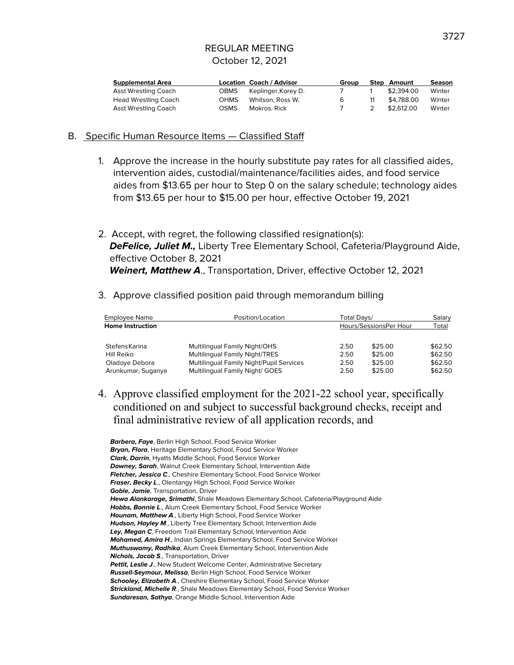| <b>Supplemental Area</b>    |             | Location Coach / Advisor | Group |    | <b>Step Amount</b> | Season |
|-----------------------------|-------------|--------------------------|-------|----|--------------------|--------|
| <b>Asst Wrestling Coach</b> | <b>OBMS</b> | Keplinger, Korey D.      |       |    | \$2,394.00         | Winter |
| <b>Head Wrestling Coach</b> | OHMS        | Whitson, Ross W.         | 6     | 11 | \$4,788,00         | Winter |
| <b>Asst Wrestling Coach</b> | OSMS        | Mokros, Rick             |       |    | \$2,612.00         | Winter |

#### B. Specific Human Resource Items — Classified Staff

- 1. Approve the increase in the hourly substitute pay rates for all classified aides, intervention aides, custodial/maintenance/facilities aides, and food service aides from \$13.65 per hour to Step 0 on the salary schedule; technology aides from \$13.65 per hour to \$15.00 per hour, effective October 19, 2021
- 2. Accept, with regret, the following classified resignation(s): **DeFelice, Juliet M.,** Liberty Tree Elementary School, Cafeteria/Playground Aide, effective October 8, 2021 **Weinert, Matthew A**., Transportation, Driver, effective October 12, 2021
- 3. Approve classified position paid through memorandum billing

| Employee Name           | Position/Location                        | Total Davs/ |                        | Salary  |
|-------------------------|------------------------------------------|-------------|------------------------|---------|
| <b>Home Instruction</b> |                                          |             | Hours/SessionsPer Hour | Total   |
| StefensKarina           | Multilingual Family Night/OHS            | 2.50        | \$25.00                | \$62.50 |
| Hill Reiko              | Multilingual Family Night/TRES           | 2.50        | \$25.00                | \$62.50 |
| Oladoye Debora          | Multilingual Family Night/Pupil Services | 2.50        | \$25.00                | \$62.50 |
| Arunkumar, Suganya      | Multilingual Family Night/ GOES          | 2.50        | \$25.00                | \$62.50 |

4. Approve classified employment for the 2021-22 school year, specifically conditioned on and subject to successful background checks, receipt and final administrative review of all application records, and

**Barbera, Faye**, Berlin High School, Food Service Worker **Bryan, Flora**, Heritage Elementary School, Food Service Worker **Clark, Darrin**, Hyatts Middle School, Food Service Worker **Downey, Sarah**, Walnut Creek Elementary School, Intervention Aide **Fletcher, Jessica C**., Cheshire Elementary School, Food Service Worker **Fraser, Becky L**., Olentangy High School, Food Service Worker **Goble, Jamie**, Transportation, Driver **Hewa Alankarage, Srimathi**, Shale Meadows Elementary School, Cafeteria/Playground Aide **Hobbs, Bonnie L**., Alum Creek Elementary School, Food Service Worker **Hounam, Matthew A**., Liberty High School, Food Service Worker Hudson, Hayley M., Liberty Tree Elementary School, Intervention Aide **Ley, Megan C**, Freedom Trail Elementary School, Intervention Aide **Mohamed, Amira H**., Indian Springs Elementary School, Food Service Worker **Muthuswamy, Radhika**, Alum Creek Elementary School, Intervention Aide **Nichols, Jacob S**., Transportation, Driver Pettit, Leslie J., New Student Welcome Center, Administrative Secretary **Russell-Seymour, Melissa**, Berlin High School, Food Service Worker **Schooley, Elizabeth A., Cheshire Elementary School, Food Service Worker Strickland, Michelle R**., Shale Meadows Elementary School, Food Service Worker **Sundaresan, Sathya**, Orange Middle School, Intervention Aide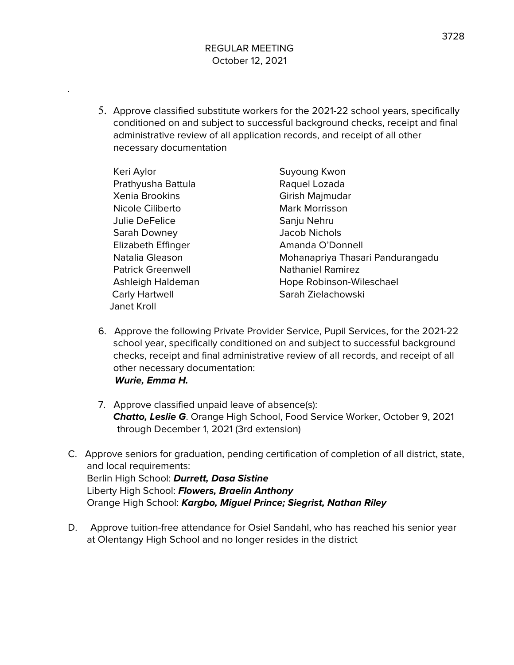5. Approve classified substitute workers for the 2021-22 school years, specifically conditioned on and subject to successful background checks, receipt and final administrative review of all application records, and receipt of all other necessary documentation

Keri Aylor **Suyoung Kwon** Prathyusha Battula Raquel Lozada Xenia Brookins **Girish Majmudar** Nicole Ciliberto **Mark Morrisson** Julie DeFelice Sanju Nehru Sarah Downey Jacob Nichols Elizabeth Effinger **Amanda O'Donnell** Patrick Greenwell **Nathaniel Ramirez** Carly Hartwell **Sarah Zielachowski** Janet Kroll

- Natalia Gleason Mohanapriya Thasari Pandurangadu Ashleigh Haldeman Hope Robinson-Wileschael
- 6. Approve the following Private Provider Service, Pupil Services, for the 2021-22 school year, specifically conditioned on and subject to successful background checks, receipt and final administrative review of all records, and receipt of all other necessary documentation: **Wurie, Emma H.**
- 7. Approve classified unpaid leave of absence(s): **Chatto, Leslie G**. Orange High School, Food Service Worker, October 9, 2021 through December 1, 2021 (3rd extension)
- C. Approve seniors for graduation, pending certification of completion of all district, state, and local requirements: Berlin High School: **Durrett, Dasa Sistine** Liberty High School: **Flowers, Braelin Anthony** Orange High School: **Kargbo, Miguel Prince; Siegrist, Nathan Riley**
- D. Approve tuition-free attendance for Osiel Sandahl, who has reached his senior year at Olentangy High School and no longer resides in the district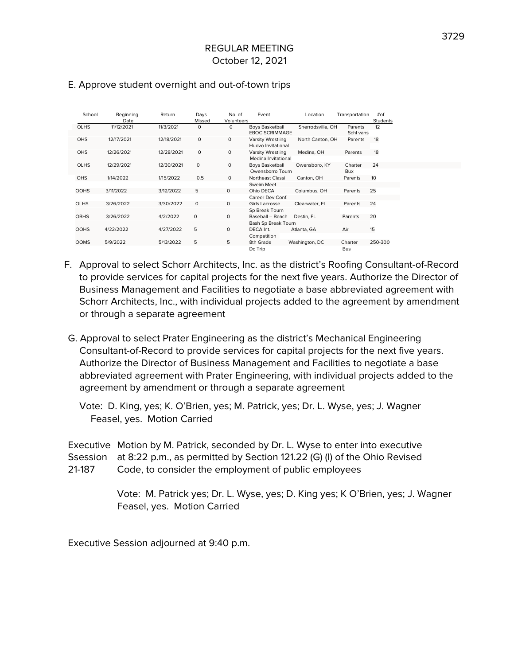| School      | Beginning<br>Date | Return     | Days<br>Missed | No. of<br>Volunteers | Event                                           | Location          | Transportation       | $#$ of<br>Students |
|-------------|-------------------|------------|----------------|----------------------|-------------------------------------------------|-------------------|----------------------|--------------------|
| <b>OLHS</b> | 11/12/2021        | 11/3/2021  | $\circ$        | $\mathbf 0$          | <b>Boys Basketball</b><br><b>EBOC SCRIMMAGE</b> | Sherrodsville, OH | Parents<br>Schl vans | 12                 |
| <b>OHS</b>  | 12/17/2021        | 12/18/2021 | $\mathbf 0$    | $\mathbf 0$          | Varsity Wrestling                               | North Canton, OH  | Parents              | 18                 |
|             |                   |            |                |                      | Huovo Invitational                              |                   |                      |                    |
| <b>OHS</b>  | 12/26/2021        | 12/28/2021 | $\circ$        | $\circ$              | Varsity Wrestling                               | Medina, OH        | Parents              | 18                 |
|             |                   |            |                |                      | Medina Invitational                             |                   |                      |                    |
| <b>OLHS</b> | 12/29/2021        | 12/30/2021 | $\circ$        | $\mathbf 0$          | <b>Boys Basketball</b>                          | Owensboro, KY     | Charter              | 24                 |
|             |                   |            |                |                      | Owensborro Tourn                                |                   | Bux                  |                    |
| <b>OHS</b>  | 1/14/2022         | 1/15/2022  | 0.5            | $\mathbf 0$          | Northeast Classi                                | Canton, OH        | Parents              | 10                 |
|             |                   |            |                |                      | Sweim Meet                                      |                   |                      |                    |
| <b>OOHS</b> | 3/11/2022         | 3/12/2022  | 5              | $\Omega$             | Ohio DECA                                       | Columbus, OH      | Parents              | 25                 |
|             |                   |            |                |                      | Career Dev Conf.                                |                   |                      |                    |
| <b>OLHS</b> | 3/26/2022         | 3/30/2022  | $\mathbf 0$    | $\mathbf 0$          | Girls Lacrosse                                  | Clearwater, FL    | Parents              | 24                 |
|             |                   |            |                |                      | Sp Break Tourn                                  |                   |                      |                    |
| <b>OBHS</b> | 3/26/2022         | 4/2/2022   | $\circ$        | $\mathbf 0$          | Baseball - Beach                                | Destin, FL        | Parents              | 20                 |
|             |                   |            |                |                      | Bash Sp Break Tourn                             |                   |                      |                    |
| <b>OOHS</b> | 4/22/2022         | 4/27/2022  | 5              | $\circ$              | DECA Int.                                       | Atlanta, GA       | Air                  | 15                 |
|             |                   |            |                |                      | Competition                                     |                   |                      |                    |
| <b>OOMS</b> | 5/9/2022          | 5/13/2022  | 5              | 5                    | 8th Grade                                       | Washington, DC    | Charter              | 250-300            |
|             |                   |            |                |                      | Dc Trip                                         |                   | <b>Bus</b>           |                    |

#### E. Approve student overnight and out-of-town trips

- F. Approval to select Schorr Architects, Inc. as the district's Roofing Consultant-of-Record to provide services for capital projects for the next five years. Authorize the Director of Business Management and Facilities to negotiate a base abbreviated agreement with Schorr Architects, Inc., with individual projects added to the agreement by amendment or through a separate agreement
- G. Approval to select Prater Engineering as the district's Mechanical Engineering Consultant-of-Record to provide services for capital projects for the next five years. Authorize the Director of Business Management and Facilities to negotiate a base abbreviated agreement with Prater Engineering, with individual projects added to the agreement by amendment or through a separate agreement

Vote: D. King, yes; K. O'Brien, yes; M. Patrick, yes; Dr. L. Wyse, yes; J. Wagner Feasel, yes. Motion Carried

Executive Motion by M. Patrick, seconded by Dr. L. Wyse to enter into executive Ssession at 8:22 p.m., as permitted by Section 121.22 (G) (l) of the Ohio Revised 21-187 Code, to consider the employment of public employees

> Vote: M. Patrick yes; Dr. L. Wyse, yes; D. King yes; K O'Brien, yes; J. Wagner Feasel, yes. Motion Carried

Executive Session adjourned at 9:40 p.m.